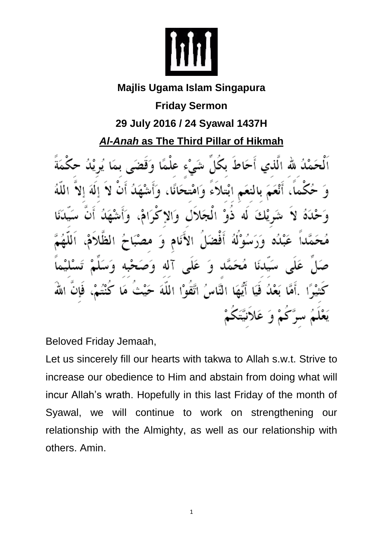

## **Majlis Ugama Islam Singapura**

**Friday Sermon**

# **29 July 2016 / 24 Syawal 1437H**

# *Al-Anah* **as The Third Pillar of Hikmah**

اَلْحَمْدُ لله الَّذي أَحَاطَ بِكَلِّ شَيْءٍ عِلْمًا ه فض أَنْعَمَ بِالنَّعَمِ ابْتِلاَءَ وَامْتِحَانًا شَوِيْكَ لَه ذَوْ الْمَجَلاَلِ وَالاِ أَفْضَلُ الأَنَام عَبْلُه وَرَسُوْلَهُ  $\overline{9}$ سَيَدِنَا مُحَمَّدٍ وَ عَلَى آلِهِ وَم بَعْدُ فَيَا أَيُّهَا النَّاسُ اتَّقُوْا اللَّهَ حَيْتُ أَهٌا رَّكُمْ وَ عَلاَنيَّتَكُمْ

Beloved Friday Jemaah,

Let us sincerely fill our hearts with takwa to Allah s.w.t. Strive to increase our obedience to Him and abstain from doing what will incur Allah's wrath. Hopefully in this last Friday of the month of Syawal, we will continue to work on strengthening our relationship with the Almighty, as well as our relationship with others. Amin.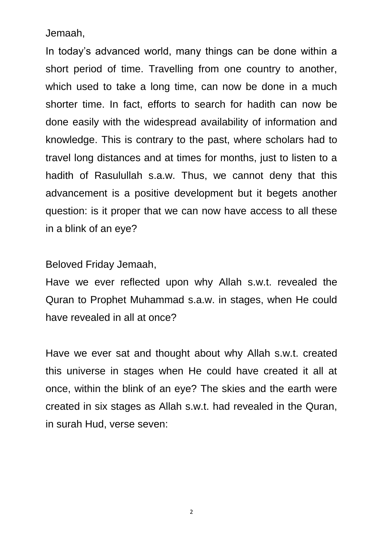Jemaah,

In today's advanced world, many things can be done within a short period of time. Travelling from one country to another, which used to take a long time, can now be done in a much shorter time. In fact, efforts to search for hadith can now be done easily with the widespread availability of information and knowledge. This is contrary to the past, where scholars had to travel long distances and at times for months, just to listen to a hadith of Rasulullah s.a.w. Thus, we cannot deny that this advancement is a positive development but it begets another question: is it proper that we can now have access to all these in a blink of an eye?

Beloved Friday Jemaah,

Have we ever reflected upon why Allah s.w.t. revealed the Quran to Prophet Muhammad s.a.w. in stages, when He could have revealed in all at once?

Have we ever sat and thought about why Allah s.w.t. created this universe in stages when He could have created it all at once, within the blink of an eye? The skies and the earth were created in six stages as Allah s.w.t. had revealed in the Quran, in surah Hud, verse seven:

2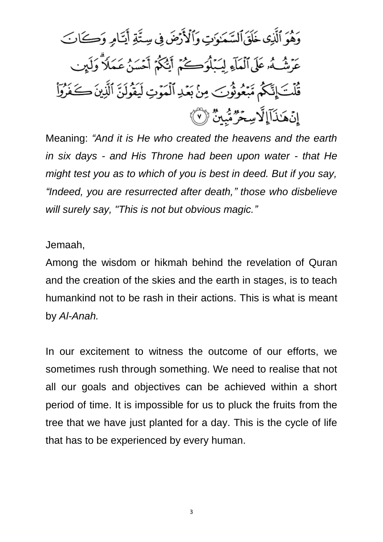Meaning: *"And it is He who created the heavens and the earth in six days - and His Throne had been upon water - that He might test you as to which of you is best in deed. But if you say, "Indeed, you are resurrected after death," those who disbelieve will surely say, "This is not but obvious magic."*

### Jemaah,

Among the wisdom or hikmah behind the revelation of Quran and the creation of the skies and the earth in stages, is to teach humankind not to be rash in their actions. This is what is meant by *Al-Anah.*

In our excitement to witness the outcome of our efforts, we sometimes rush through something. We need to realise that not all our goals and objectives can be achieved within a short period of time. It is impossible for us to pluck the fruits from the tree that we have just planted for a day. This is the cycle of life that has to be experienced by every human.

3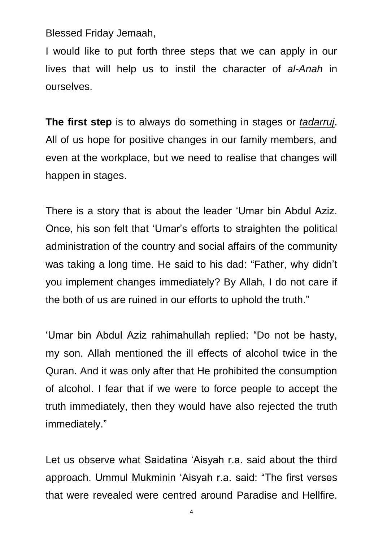Blessed Friday Jemaah,

I would like to put forth three steps that we can apply in our lives that will help us to instil the character of *al-Anah* in ourselves.

**The first step** is to always do something in stages or *tadarruj*. All of us hope for positive changes in our family members, and even at the workplace, but we need to realise that changes will happen in stages.

There is a story that is about the leader 'Umar bin Abdul Aziz. Once, his son felt that 'Umar's efforts to straighten the political administration of the country and social affairs of the community was taking a long time. He said to his dad: "Father, why didn't you implement changes immediately? By Allah, I do not care if the both of us are ruined in our efforts to uphold the truth."

'Umar bin Abdul Aziz rahimahullah replied: "Do not be hasty, my son. Allah mentioned the ill effects of alcohol twice in the Quran. And it was only after that He prohibited the consumption of alcohol. I fear that if we were to force people to accept the truth immediately, then they would have also rejected the truth immediately."

Let us observe what Saidatina 'Aisyah r.a. said about the third approach. Ummul Mukminin 'Aisyah r.a. said: "The first verses that were revealed were centred around Paradise and Hellfire.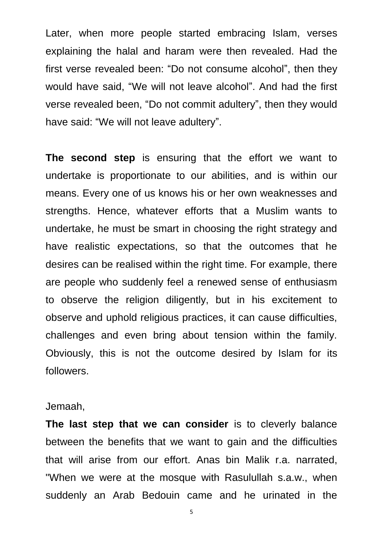Later, when more people started embracing Islam, verses explaining the halal and haram were then revealed. Had the first verse revealed been: "Do not consume alcohol", then they would have said, "We will not leave alcohol". And had the first verse revealed been, "Do not commit adultery", then they would have said: "We will not leave adultery".

**The second step** is ensuring that the effort we want to undertake is proportionate to our abilities, and is within our means. Every one of us knows his or her own weaknesses and strengths. Hence, whatever efforts that a Muslim wants to undertake, he must be smart in choosing the right strategy and have realistic expectations, so that the outcomes that he desires can be realised within the right time. For example, there are people who suddenly feel a renewed sense of enthusiasm to observe the religion diligently, but in his excitement to observe and uphold religious practices, it can cause difficulties, challenges and even bring about tension within the family. Obviously, this is not the outcome desired by Islam for its followers.

#### Jemaah,

**The last step that we can consider** is to cleverly balance between the benefits that we want to gain and the difficulties that will arise from our effort. Anas bin Malik r.a. narrated, "When we were at the mosque with Rasulullah s.a.w., when suddenly an Arab Bedouin came and he urinated in the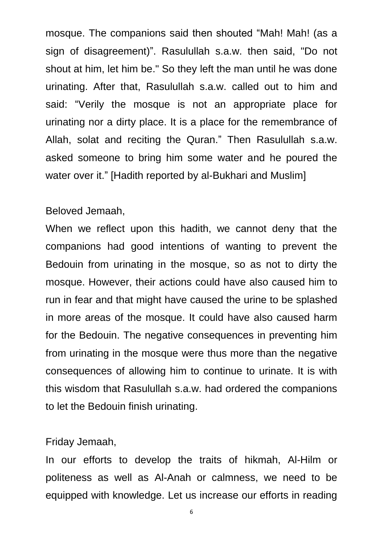mosque. The companions said then shouted "Mah! Mah! (as a sign of disagreement)". Rasulullah s.a.w. then said, "Do not shout at him, let him be." So they left the man until he was done urinating. After that, Rasulullah s.a.w. called out to him and said: "Verily the mosque is not an appropriate place for urinating nor a dirty place. It is a place for the remembrance of Allah, solat and reciting the Quran." Then Rasulullah s.a.w. asked someone to bring him some water and he poured the water over it." [Hadith reported by al-Bukhari and Muslim]

### Beloved Jemaah,

When we reflect upon this hadith, we cannot deny that the companions had good intentions of wanting to prevent the Bedouin from urinating in the mosque, so as not to dirty the mosque. However, their actions could have also caused him to run in fear and that might have caused the urine to be splashed in more areas of the mosque. It could have also caused harm for the Bedouin. The negative consequences in preventing him from urinating in the mosque were thus more than the negative consequences of allowing him to continue to urinate. It is with this wisdom that Rasulullah s.a.w. had ordered the companions to let the Bedouin finish urinating.

### Friday Jemaah,

In our efforts to develop the traits of hikmah, Al-Hilm or politeness as well as Al-Anah or calmness, we need to be equipped with knowledge. Let us increase our efforts in reading

6